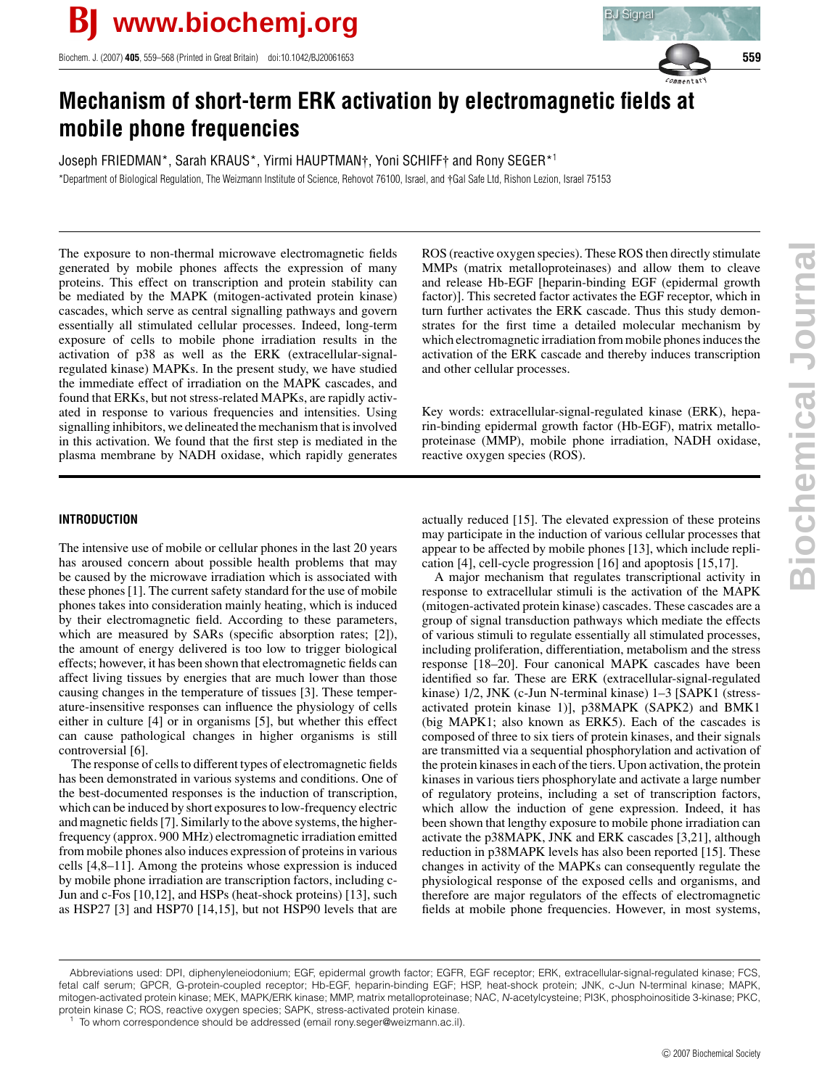Biochem. J. (2007) **405**, 559–568 (Printed in Great Britain) doi:10.1042/BJ20061653 **559**



# **Mechanism of short-term ERK activation by electromagnetic fields at mobile phone frequencies**

Joseph FRIEDMAN\*, Sarah KRAUS\*, Yirmi HAUPTMAN†, Yoni SCHIFF† and Rony SEGER\*<sup>1</sup> \*Department of Biological Regulation, The Weizmann Institute of Science, Rehovot 76100, Israel, and †Gal Safe Ltd, Rishon Lezion, Israel 75153

The exposure to non-thermal microwave electromagnetic fields generated by mobile phones affects the expression of many proteins. This effect on transcription and protein stability can be mediated by the MAPK (mitogen-activated protein kinase) cascades, which serve as central signalling pathways and govern essentially all stimulated cellular processes. Indeed, long-term exposure of cells to mobile phone irradiation results in the activation of p38 as well as the ERK (extracellular-signalregulated kinase) MAPKs. In the present study, we have studied the immediate effect of irradiation on the MAPK cascades, and found that ERKs, but not stress-related MAPKs, are rapidly activated in response to various frequencies and intensities. Using signalling inhibitors, we delineated the mechanism that is involved in this activation. We found that the first step is mediated in the plasma membrane by NADH oxidase, which rapidly generates

# **INTRODUCTION**

The intensive use of mobile or cellular phones in the last 20 years has aroused concern about possible health problems that may be caused by the microwave irradiation which is associated with these phones [1]. The current safety standard for the use of mobile phones takes into consideration mainly heating, which is induced by their electromagnetic field. According to these parameters, which are measured by SARs (specific absorption rates; [2]), the amount of energy delivered is too low to trigger biological effects; however, it has been shown that electromagnetic fields can affect living tissues by energies that are much lower than those causing changes in the temperature of tissues [3]. These temperature-insensitive responses can influence the physiology of cells either in culture [4] or in organisms [5], but whether this effect can cause pathological changes in higher organisms is still controversial [6].

The response of cells to different types of electromagnetic fields has been demonstrated in various systems and conditions. One of the best-documented responses is the induction of transcription, which can be induced by short exposures to low-frequency electric and magnetic fields [7]. Similarly to the above systems, the higherfrequency (approx. 900 MHz) electromagnetic irradiation emitted from mobile phones also induces expression of proteins in various cells [4,8–11]. Among the proteins whose expression is induced by mobile phone irradiation are transcription factors, including c-Jun and c-Fos [10,12], and HSPs (heat-shock proteins) [13], such as HSP27 [3] and HSP70 [14,15], but not HSP90 levels that are ROS (reactive oxygen species). These ROS then directly stimulate MMPs (matrix metalloproteinases) and allow them to cleave and release Hb-EGF [heparin-binding EGF (epidermal growth factor)]. This secreted factor activates the EGF receptor, which in turn further activates the ERK cascade. Thus this study demonstrates for the first time a detailed molecular mechanism by which electromagnetic irradiation from mobile phones induces the activation of the ERK cascade and thereby induces transcription and other cellular processes.

Key words: extracellular-signal-regulated kinase (ERK), heparin-binding epidermal growth factor (Hb-EGF), matrix metalloproteinase (MMP), mobile phone irradiation, NADH oxidase, reactive oxygen species (ROS).

actually reduced [15]. The elevated expression of these proteins may participate in the induction of various cellular processes that appear to be affected by mobile phones [13], which include replication [4], cell-cycle progression [16] and apoptosis [15,17].

A major mechanism that regulates transcriptional activity in response to extracellular stimuli is the activation of the MAPK (mitogen-activated protein kinase) cascades. These cascades are a group of signal transduction pathways which mediate the effects of various stimuli to regulate essentially all stimulated processes, including proliferation, differentiation, metabolism and the stress response [18–20]. Four canonical MAPK cascades have been identified so far. These are ERK (extracellular-signal-regulated kinase) 1/2, JNK (c-Jun N-terminal kinase) 1–3 [SAPK1 (stressactivated protein kinase 1)], p38MAPK (SAPK2) and BMK1 (big MAPK1; also known as ERK5). Each of the cascades is composed of three to six tiers of protein kinases, and their signals are transmitted via a sequential phosphorylation and activation of the protein kinases in each of the tiers. Upon activation, the protein kinases in various tiers phosphorylate and activate a large number of regulatory proteins, including a set of transcription factors, which allow the induction of gene expression. Indeed, it has been shown that lengthy exposure to mobile phone irradiation can activate the p38MAPK, JNK and ERK cascades [3,21], although reduction in p38MAPK levels has also been reported [15]. These changes in activity of the MAPKs can consequently regulate the physiological response of the exposed cells and organisms, and therefore are major regulators of the effects of electromagnetic fields at mobile phone frequencies. However, in most systems,

Abbreviations used: DPI, diphenyleneiodonium; EGF, epidermal growth factor; EGFR, EGF receptor; ERK, extracellular-signal-regulated kinase; FCS, fetal calf serum; GPCR, G-protein-coupled receptor; Hb-EGF, heparin-binding EGF; HSP, heat-shock protein; JNK, c-Jun N-terminal kinase; MAPK, mitogen-activated protein kinase; MEK, MAPK/ERK kinase; MMP, matrix metalloproteinase; NAC, N-acetylcysteine; PI3K, phosphoinositide 3-kinase; PKC, protein kinase C; ROS, reactive oxygen species; SAPK, stress-activated protein kinase.

To whom correspondence should be addressed (email rony.seger@weizmann.ac.il).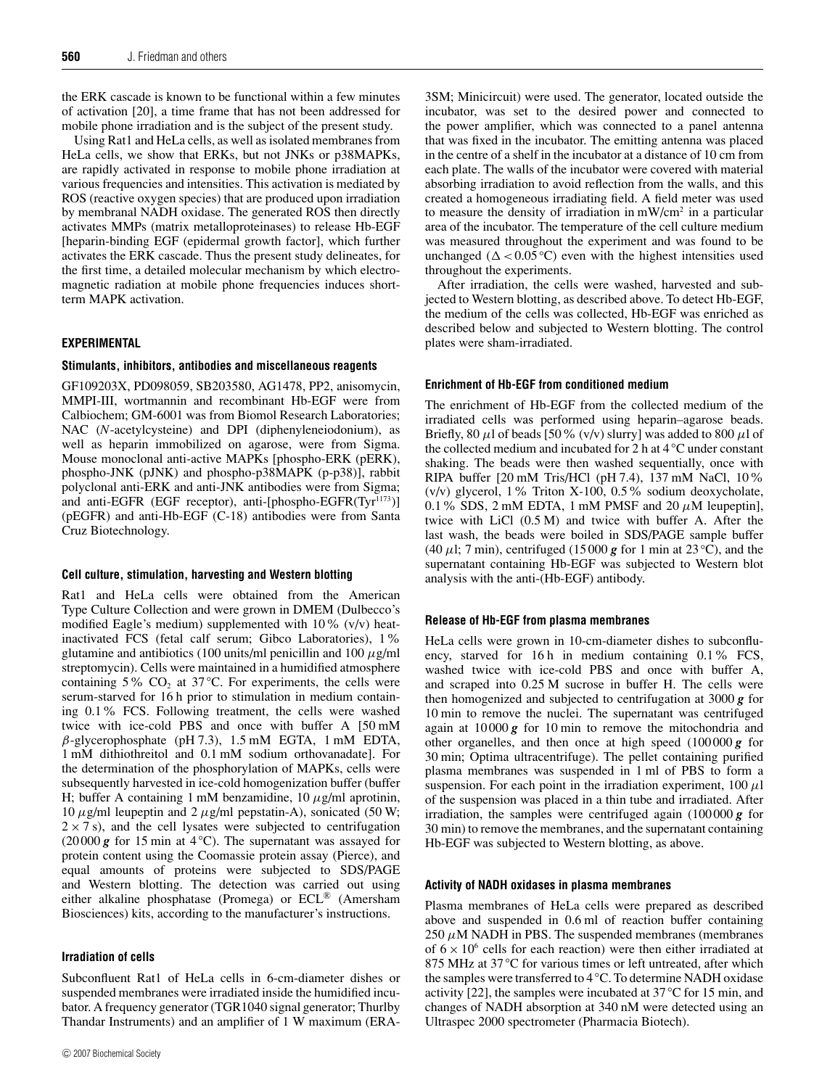the ERK cascade is known to be functional within a few minutes of activation [20], a time frame that has not been addressed for mobile phone irradiation and is the subject of the present study.

Using Rat1 and HeLa cells, as well as isolated membranes from HeLa cells, we show that ERKs, but not JNKs or p38MAPKs, are rapidly activated in response to mobile phone irradiation at various frequencies and intensities. This activation is mediated by ROS (reactive oxygen species) that are produced upon irradiation by membranal NADH oxidase. The generated ROS then directly activates MMPs (matrix metalloproteinases) to release Hb-EGF [heparin-binding EGF (epidermal growth factor], which further activates the ERK cascade. Thus the present study delineates, for the first time, a detailed molecular mechanism by which electromagnetic radiation at mobile phone frequencies induces shortterm MAPK activation.

# **EXPERIMENTAL**

#### **Stimulants, inhibitors, antibodies and miscellaneous reagents**

GF109203X, PD098059, SB203580, AG1478, PP2, anisomycin, MMPI-III, wortmannin and recombinant Hb-EGF were from Calbiochem; GM-6001 was from Biomol Research Laboratories; NAC (*N*-acetylcysteine) and DPI (diphenyleneiodonium), as well as heparin immobilized on agarose, were from Sigma. Mouse monoclonal anti-active MAPKs [phospho-ERK (pERK), phospho-JNK (pJNK) and phospho-p38MAPK (p-p38)], rabbit polyclonal anti-ERK and anti-JNK antibodies were from Sigma; and anti-EGFR (EGF receptor), anti-[phospho-EGFR(Tyr<sup>1173</sup>)] (pEGFR) and anti-Hb-EGF (C-18) antibodies were from Santa Cruz Biotechnology.

#### **Cell culture, stimulation, harvesting and Western blotting**

Rat1 and HeLa cells were obtained from the American Type Culture Collection and were grown in DMEM (Dulbecco's modified Eagle's medium) supplemented with  $10\%$  (v/v) heatinactivated FCS (fetal calf serum; Gibco Laboratories), 1% glutamine and antibiotics (100 units/ml penicillin and 100  $\mu$ g/ml streptomycin). Cells were maintained in a humidified atmosphere containing 5% CO<sub>2</sub> at 37 °C. For experiments, the cells were serum-starved for 16 h prior to stimulation in medium containing 0.1% FCS. Following treatment, the cells were washed twice with ice-cold PBS and once with buffer A [50 mM  $\beta$ -glycerophosphate (pH 7.3), 1.5 mM EGTA, 1 mM EDTA, 1 mM dithiothreitol and 0.1 mM sodium orthovanadate]. For the determination of the phosphorylation of MAPKs, cells were subsequently harvested in ice-cold homogenization buffer (buffer H; buffer A containing 1 mM benzamidine,  $10 \mu g/ml$  aprotinin, 10  $\mu$ g/ml leupeptin and 2  $\mu$ g/ml pepstatin-A), sonicated (50 W;  $2 \times 7$  s), and the cell lysates were subjected to centrifugation (20 000 *g* for 15 min at 4 *◦*C). The supernatant was assayed for protein content using the Coomassie protein assay (Pierce), and equal amounts of proteins were subjected to SDS/PAGE and Western blotting. The detection was carried out using either alkaline phosphatase (Promega) or ECL® (Amersham Biosciences) kits, according to the manufacturer's instructions.

# **Irradiation of cells**

Subconfluent Rat1 of HeLa cells in 6-cm-diameter dishes or suspended membranes were irradiated inside the humidified incubator. A frequency generator (TGR1040 signal generator; Thurlby Thandar Instruments) and an amplifier of 1 W maximum (ERA- 3SM; Minicircuit) were used. The generator, located outside the incubator, was set to the desired power and connected to the power amplifier, which was connected to a panel antenna that was fixed in the incubator. The emitting antenna was placed in the centre of a shelf in the incubator at a distance of 10 cm from each plate. The walls of the incubator were covered with material absorbing irradiation to avoid reflection from the walls, and this created a homogeneous irradiating field. A field meter was used to measure the density of irradiation in  $mW/cm<sup>2</sup>$  in a particular area of the incubator. The temperature of the cell culture medium was measured throughout the experiment and was found to be unchanged  $(\Delta < 0.05 \degree C)$  even with the highest intensities used throughout the experiments.

After irradiation, the cells were washed, harvested and subjected to Western blotting, as described above. To detect Hb-EGF, the medium of the cells was collected, Hb-EGF was enriched as described below and subjected to Western blotting. The control plates were sham-irradiated.

### **Enrichment of Hb-EGF from conditioned medium**

The enrichment of Hb-EGF from the collected medium of the irradiated cells was performed using heparin–agarose beads. Briefly, 80  $\mu$ l of beads [50% (v/v) slurry] was added to 800  $\mu$ l of the collected medium and incubated for 2 h at 4 *◦*C under constant shaking. The beads were then washed sequentially, once with RIPA buffer [20 mM Tris/HCl (pH 7.4), 137 mM NaCl, 10% (v/v) glycerol, 1% Triton X-100, 0.5% sodium deoxycholate, 0.1% SDS, 2 mM EDTA, 1 mM PMSF and 20  $\mu$ M leupeptin], twice with LiCl (0.5 M) and twice with buffer A. After the last wash, the beads were boiled in SDS/PAGE sample buffer (40  $\mu$ l; 7 min), centrifuged (15000 **g** for 1 min at 23 °C), and the supernatant containing Hb-EGF was subjected to Western blot analysis with the anti-(Hb-EGF) antibody.

#### **Release of Hb-EGF from plasma membranes**

HeLa cells were grown in 10-cm-diameter dishes to subconfluency, starved for  $16 h$  in medium containing  $0.1\%$  FCS, washed twice with ice-cold PBS and once with buffer A, and scraped into 0.25 M sucrose in buffer H. The cells were then homogenized and subjected to centrifugation at 3000 *g* for 10 min to remove the nuclei. The supernatant was centrifuged again at 10 000 *g* for 10 min to remove the mitochondria and other organelles, and then once at high speed (100 000 *g* for 30 min; Optima ultracentrifuge). The pellet containing purified plasma membranes was suspended in 1 ml of PBS to form a suspension. For each point in the irradiation experiment,  $100 \mu l$ of the suspension was placed in a thin tube and irradiated. After irradiation, the samples were centrifuged again (100 000 *g* for 30 min) to remove the membranes, and the supernatant containing Hb-EGF was subjected to Western blotting, as above.

#### **Activity of NADH oxidases in plasma membranes**

Plasma membranes of HeLa cells were prepared as described above and suspended in 0.6 ml of reaction buffer containing  $250 \mu$ M NADH in PBS. The suspended membranes (membranes of  $6 \times 10^6$  cells for each reaction) were then either irradiated at 875 MHz at 37 °C for various times or left untreated, after which the samples were transferred to 4 *◦*C. To determine NADH oxidase activity [22], the samples were incubated at 37 *◦*C for 15 min, and changes of NADH absorption at 340 nM were detected using an Ultraspec 2000 spectrometer (Pharmacia Biotech).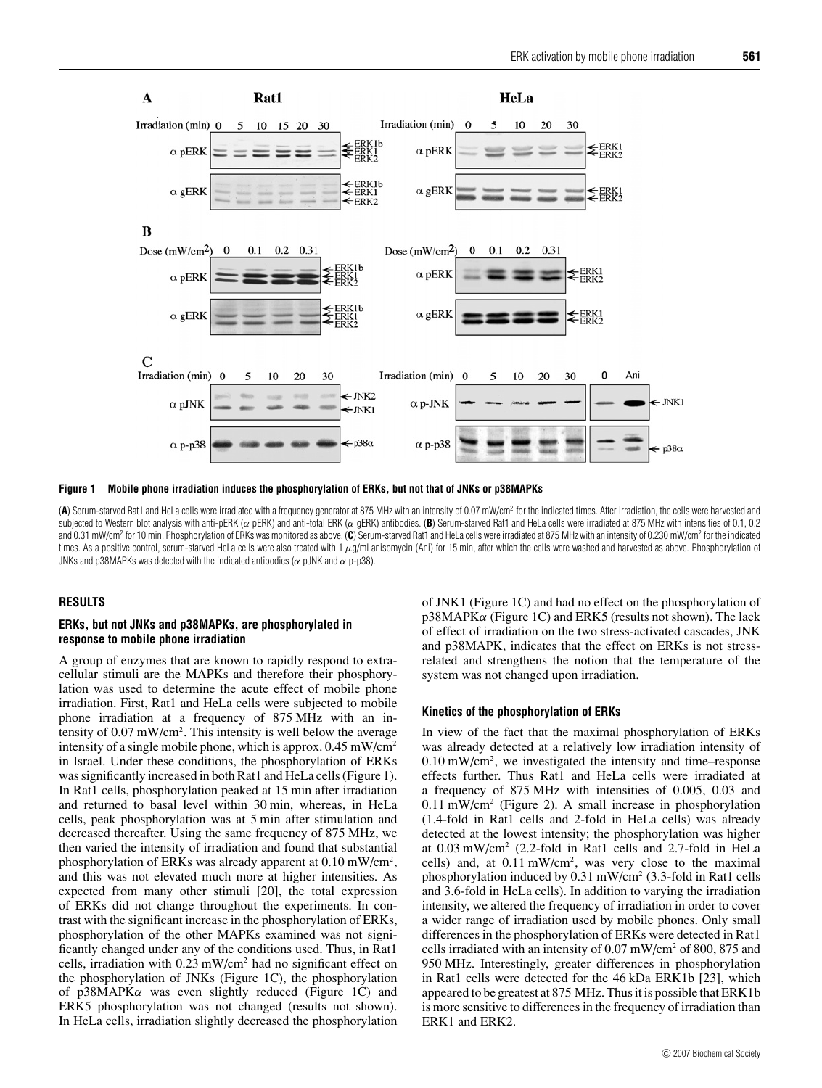

**Figure 1 Mobile phone irradiation induces the phosphorylation of ERKs, but not that of JNKs or p38MAPKs**

(A) Serum-starved Rat1 and HeLa cells were irradiated with a frequency generator at 875 MHz with an intensity of 0.07 mW/cm<sup>2</sup> for the indicated times. After irradiation, the cells were harvested and subjected to Western blot analysis with anti-pERK (α pERK) and anti-total ERK (α pERK) antibodies. (B) Serum-starved Rat1 and HeLa cells were irradiated at 875 MHz with intensities of 0.1, 0.2 and 0.31 mW/cm2 for 10 min. Phosphorylation of ERKs was monitored as above. (**C**) Serum-starved Rat1 and HeLa cells were irradiated at 875 MHz with an intensity of 0.230 mW/cm2 for the indicated times. As a positive control, serum-starved HeLa cells were also treated with 1  $\mu$ g/ml anisomycin (Ani) for 15 min, after which the cells were washed and harvested as above. Phosphorylation of JNKs and p38MAPKs was detected with the indicated antibodies ( $\alpha$  pJNK and  $\alpha$  p-p38).

## **RESULTS**

# **ERKs, but not JNKs and p38MAPKs, are phosphorylated in response to mobile phone irradiation**

A group of enzymes that are known to rapidly respond to extracellular stimuli are the MAPKs and therefore their phosphorylation was used to determine the acute effect of mobile phone irradiation. First, Rat1 and HeLa cells were subjected to mobile phone irradiation at a frequency of 875 MHz with an intensity of 0.07 mW/cm<sup>2</sup>. This intensity is well below the average intensity of a single mobile phone, which is approx. 0.45 mW/cm2 in Israel. Under these conditions, the phosphorylation of ERKs was significantly increased in both Rat1 and HeLa cells (Figure 1). In Rat1 cells, phosphorylation peaked at 15 min after irradiation and returned to basal level within 30 min, whereas, in HeLa cells, peak phosphorylation was at 5 min after stimulation and decreased thereafter. Using the same frequency of 875 MHz, we then varied the intensity of irradiation and found that substantial phosphorylation of ERKs was already apparent at  $0.10 \text{ mW/cm}^2$ , and this was not elevated much more at higher intensities. As expected from many other stimuli [20], the total expression of ERKs did not change throughout the experiments. In contrast with the significant increase in the phosphorylation of ERKs, phosphorylation of the other MAPKs examined was not significantly changed under any of the conditions used. Thus, in Rat1 cells, irradiation with 0.23 mW/cm2 had no significant effect on the phosphorylation of JNKs (Figure 1C), the phosphorylation of p38MAPK $\alpha$  was even slightly reduced (Figure 1C) and ERK5 phosphorylation was not changed (results not shown). In HeLa cells, irradiation slightly decreased the phosphorylation of JNK1 (Figure 1C) and had no effect on the phosphorylation of  $p38MAPK\alpha$  (Figure 1C) and ERK5 (results not shown). The lack of effect of irradiation on the two stress-activated cascades, JNK and p38MAPK, indicates that the effect on ERKs is not stressrelated and strengthens the notion that the temperature of the system was not changed upon irradiation.

#### **Kinetics of the phosphorylation of ERKs**

In view of the fact that the maximal phosphorylation of ERKs was already detected at a relatively low irradiation intensity of  $0.10 \text{ mW/cm}^2$ , we investigated the intensity and time–response effects further. Thus Rat1 and HeLa cells were irradiated at a frequency of 875 MHz with intensities of 0.005, 0.03 and 0.11 mW/cm2 (Figure 2). A small increase in phosphorylation (1.4-fold in Rat1 cells and 2-fold in HeLa cells) was already detected at the lowest intensity; the phosphorylation was higher at 0.03 mW/cm2 (2.2-fold in Rat1 cells and 2.7-fold in HeLa cells) and, at  $0.11 \text{ mW/cm}^2$ , was very close to the maximal phosphorylation induced by  $0.31 \text{ mW/cm}^2$  (3.3-fold in Rat1 cells and 3.6-fold in HeLa cells). In addition to varying the irradiation intensity, we altered the frequency of irradiation in order to cover a wider range of irradiation used by mobile phones. Only small differences in the phosphorylation of ERKs were detected in Rat1 cells irradiated with an intensity of 0.07 mW/cm2 of 800, 875 and 950 MHz. Interestingly, greater differences in phosphorylation in Rat1 cells were detected for the 46 kDa ERK1b [23], which appeared to be greatest at 875 MHz. Thus it is possible that ERK1b is more sensitive to differences in the frequency of irradiation than ERK1 and ERK2.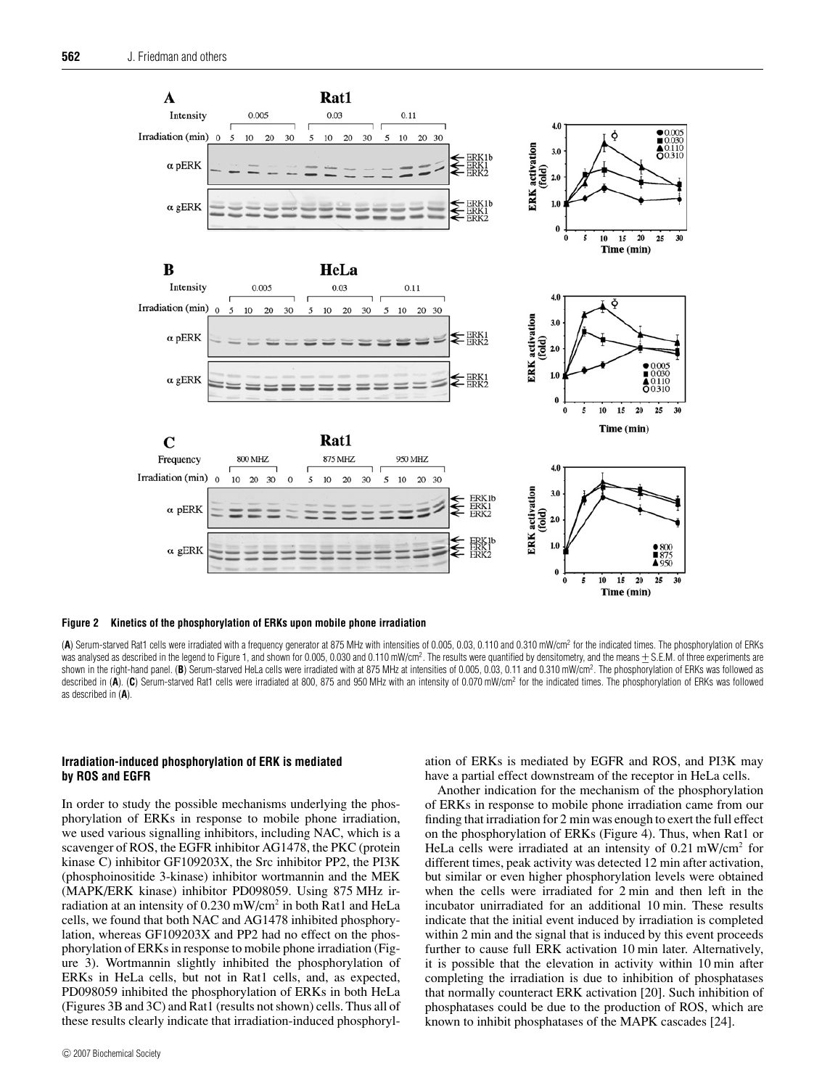

#### **Figure 2 Kinetics of the phosphorylation of ERKs upon mobile phone irradiation**

(**A**) Serum-starved Rat1 cells were irradiated with a frequency generator at 875 MHz with intensities of 0.005, 0.03, 0.110 and 0.310 mW/cm2 for the indicated times. The phosphorylation of ERKs was analysed as described in the legend to Figure 1, and shown for 0.005, 0.030 and 0.110 mW/cm<sup>2</sup>. The results were quantified by densitometry, and the means ± S.E.M. of three experiments are<br>shown in the right-hand pane shown in the right-hand panel. (**B**) Serum-starved HeLa cells were irradiated with at 875 MHz at intensities of 0.005, 0.03, 0.11 and 0.310 mW/cm2 . The phosphorylation of ERKs was followed as described in (A). (C) Serum-starved Rat1 cells were irradiated at 800, 875 and 950 MHz with an intensity of 0.070 mW/cm<sup>2</sup> for the indicated times. The phosphorylation of ERKs was followed as described in (**A**).

# **Irradiation-induced phosphorylation of ERK is mediated by ROS and EGFR**

In order to study the possible mechanisms underlying the phosphorylation of ERKs in response to mobile phone irradiation, we used various signalling inhibitors, including NAC, which is a scavenger of ROS, the EGFR inhibitor AG1478, the PKC (protein kinase C) inhibitor GF109203X, the Src inhibitor PP2, the PI3K (phosphoinositide 3-kinase) inhibitor wortmannin and the MEK (MAPK/ERK kinase) inhibitor PD098059. Using 875 MHz irradiation at an intensity of  $0.230$  mW/cm<sup>2</sup> in both Rat1 and HeLa cells, we found that both NAC and AG1478 inhibited phosphorylation, whereas GF109203X and PP2 had no effect on the phosphorylation of ERKs in response to mobile phone irradiation (Figure 3). Wortmannin slightly inhibited the phosphorylation of ERKs in HeLa cells, but not in Rat1 cells, and, as expected, PD098059 inhibited the phosphorylation of ERKs in both HeLa (Figures 3B and 3C) and Rat1 (results not shown) cells. Thus all of these results clearly indicate that irradiation-induced phosphorylation of ERKs is mediated by EGFR and ROS, and PI3K may have a partial effect downstream of the receptor in HeLa cells.

Another indication for the mechanism of the phosphorylation of ERKs in response to mobile phone irradiation came from our finding that irradiation for 2 min was enough to exert the full effect on the phosphorylation of ERKs (Figure 4). Thus, when Rat1 or HeLa cells were irradiated at an intensity of 0.21 mW/cm<sup>2</sup> for different times, peak activity was detected 12 min after activation, but similar or even higher phosphorylation levels were obtained when the cells were irradiated for 2 min and then left in the incubator unirradiated for an additional 10 min. These results indicate that the initial event induced by irradiation is completed within 2 min and the signal that is induced by this event proceeds further to cause full ERK activation 10 min later. Alternatively, it is possible that the elevation in activity within 10 min after completing the irradiation is due to inhibition of phosphatases that normally counteract ERK activation [20]. Such inhibition of phosphatases could be due to the production of ROS, which are known to inhibit phosphatases of the MAPK cascades [24].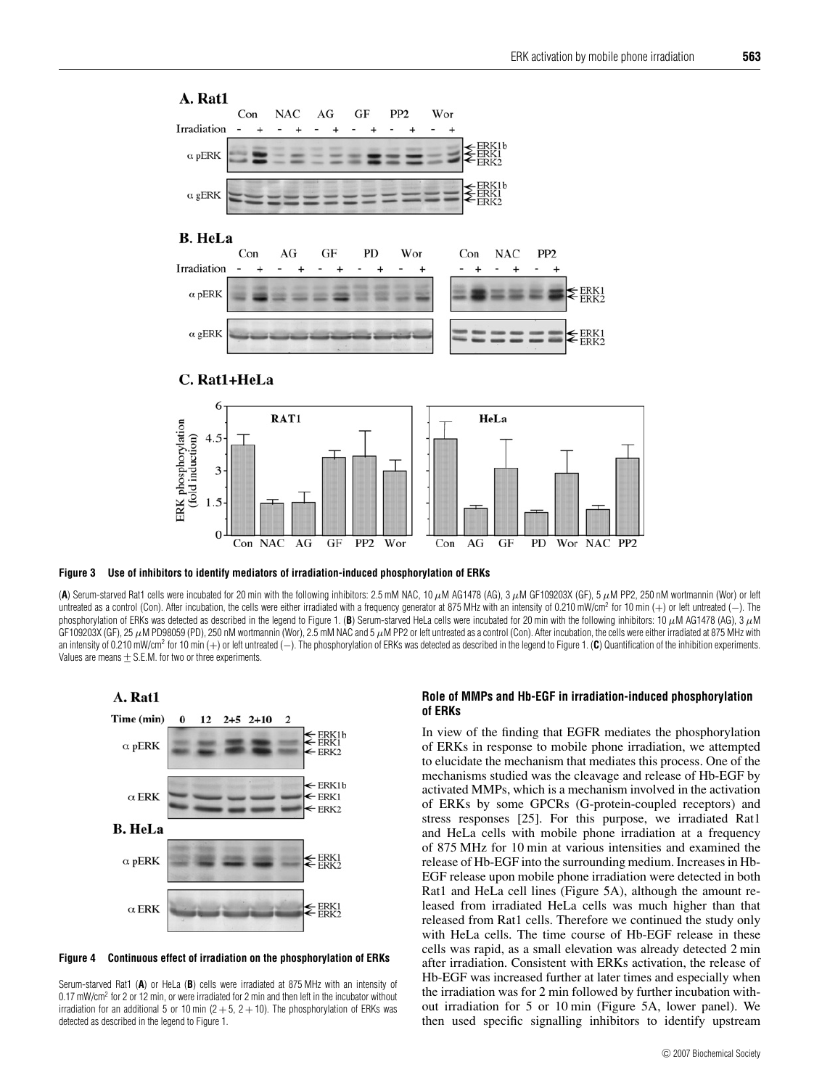

 $1.5$ 





(**A**) Serum-starved Rat1 cells were incubated for 20 min with the following inhibitors: 2.5 mM NAC, 10 µM AG1478 (AG), 3 µM GF109203X (GF), 5 µM PP2, 250 nM wortmannin (Wor) or left untreated as a control (Con). After incubation, the cells were either irradiated with a frequency generator at 875 MHz with an intensity of 0.210 mW/cm<sup>2</sup> for 10 min (+) or left untreated (-). The phosphorylation of ERKs was detected as described in the legend to Figure 1. (B) Serum-starved HeLa cells were incubated for 20 min with the following inhibitors: 10  $\mu$ M AG1478 (AG), 3  $\mu$ M GF109203X (GF), 25  $\mu$ M PD98059 (PD), 250 nM wortmannin (Wor), 2.5 mM NAC and 5  $\mu$ M PP2 or left untreated as a control (Con). After incubation, the cells were either irradiated at 875 MHz with an intensity of 0.210 mW/cm2 for 10 min (+) or left untreated (−). The phosphorylation of ERKs was detected as described in the legend to Figure 1. (**C**) Quantification of the inhibition experiments. Values are means  $+$  S.E.M. for two or three experiments.





Serum-starved Rat1 (**A**) or HeLa (**B**) cells were irradiated at 875 MHz with an intensity of 0.17 mW/cm<sup>2</sup> for 2 or 12 min, or were irradiated for 2 min and then left in the incubator without irradiation for an additional 5 or 10 min ( $2 + 5$ ,  $2 + 10$ ). The phosphorylation of ERKs was detected as described in the legend to Figure 1.

#### **Role of MMPs and Hb-EGF in irradiation-induced phosphorylation of ERKs**

In view of the finding that EGFR mediates the phosphorylation of ERKs in response to mobile phone irradiation, we attempted to elucidate the mechanism that mediates this process. One of the mechanisms studied was the cleavage and release of Hb-EGF by activated MMPs, which is a mechanism involved in the activation of ERKs by some GPCRs (G-protein-coupled receptors) and stress responses [25]. For this purpose, we irradiated Rat1 and HeLa cells with mobile phone irradiation at a frequency of 875 MHz for 10 min at various intensities and examined the release of Hb-EGF into the surrounding medium. Increases in Hb-EGF release upon mobile phone irradiation were detected in both Rat1 and HeLa cell lines (Figure 5A), although the amount released from irradiated HeLa cells was much higher than that released from Rat1 cells. Therefore we continued the study only with HeLa cells. The time course of Hb-EGF release in these cells was rapid, as a small elevation was already detected 2 min after irradiation. Consistent with ERKs activation, the release of Hb-EGF was increased further at later times and especially when the irradiation was for 2 min followed by further incubation without irradiation for 5 or 10 min (Figure 5A, lower panel). We then used specific signalling inhibitors to identify upstream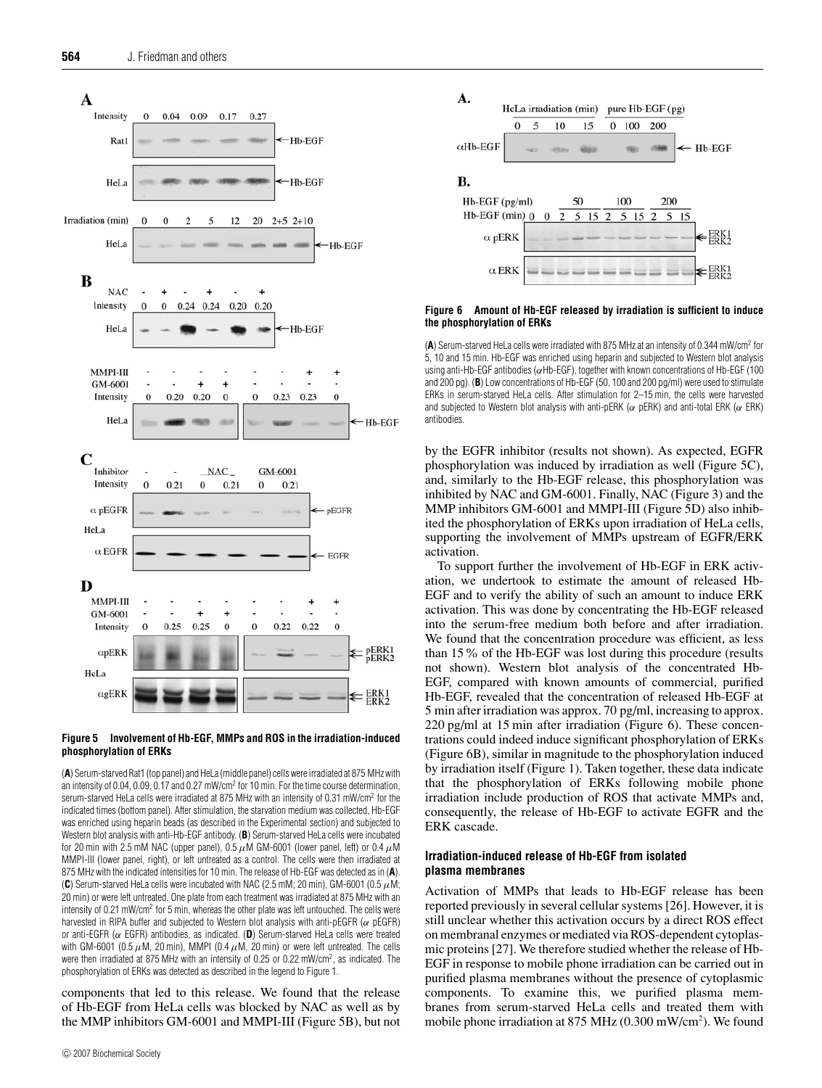



(**A**) Serum-starved Rat1 (top panel) and HeLa (middle panel) cells were irradiated at 875 MHz with an intensity of 0.04, 0.09, 0.17 and 0.27 mW/cm<sup>2</sup> for 10 min. For the time course determination, serum-starved HeLa cells were irradiated at 875 MHz with an intensity of 0.31 mW/cm2 for the indicated times (bottom panel). After stimulation, the starvation medium was collected, Hb-EGF was enriched using heparin beads (as described in the Experimental section) and subjected to Western blot analysis with anti-Hb-EGF antibody. (**B**) Serum-starved HeLa cells were incubated for 20 min with 2.5 mM NAC (upper panel), 0.5  $\mu$ M GM-6001 (lower panel, left) or 0.4  $\mu$ M MMPI-III (lower panel, right), or left untreated as a control. The cells were then irradiated at 875 MHz with the indicated intensities for 10 min. The release of Hb-EGF was detected as in (**A**). (C) Serum-starved HeLa cells were incubated with NAC (2.5 mM; 20 min), GM-6001 (0.5  $\mu$ M; 20 min) or were left untreated. One plate from each treatment was irradiated at 875 MHz with an intensity of 0.21 mW/cm<sup>2</sup> for 5 min, whereas the other plate was left untouched. The cells were harvested in RIPA buffer and subjected to Western blot analysis with anti-pEGFR ( $\alpha$  pEGFR) or anti-EGFR (α EGFR) antibodies, as indicated. (**D**) Serum-starved HeLa cells were treated with GM-6001 (0.5  $\mu$ M, 20 min), MMPI (0.4  $\mu$ M, 20 min) or were left untreated. The cells were then irradiated at 875 MHz with an intensity of 0.25 or 0.22 mW/cm2 , as indicated. The phosphorylation of ERKs was detected as described in the legend to Figure 1.

components that led to this release. We found that the release of Hb-EGF from HeLa cells was blocked by NAC as well as by the MMP inhibitors GM-6001 and MMPI-III (Figure 5B), but not



#### **Figure 6 Amount of Hb-EGF released by irradiation is sufficient to induce the phosphorylation of ERKs**

(**A**) Serum-starved HeLa cells were irradiated with 875 MHz at an intensity of 0.344 mW/cm2 for 5, 10 and 15 min. Hb-EGF was enriched using heparin and subjected to Western blot analysis using anti-Hb-EGF antibodies ( $\alpha$ Hb-EGF), together with known concentrations of Hb-EGF (100 and 200 pg). (**B**) Low concentrations of Hb-EGF (50, 100 and 200 pg/ml) were used to stimulate ERKs in serum-starved HeLa cells. After stimulation for 2–15 min, the cells were harvested and subjected to Western blot analysis with anti-pERK ( $\alpha$  pERK) and anti-total ERK ( $\alpha$  ERK) antibodies.

by the EGFR inhibitor (results not shown). As expected, EGFR phosphorylation was induced by irradiation as well (Figure 5C), and, similarly to the Hb-EGF release, this phosphorylation was inhibited by NAC and GM-6001. Finally, NAC (Figure 3) and the MMP inhibitors GM-6001 and MMPI-III (Figure 5D) also inhibited the phosphorylation of ERKs upon irradiation of HeLa cells, supporting the involvement of MMPs upstream of EGFR/ERK activation.

To support further the involvement of Hb-EGF in ERK activation, we undertook to estimate the amount of released Hb-EGF and to verify the ability of such an amount to induce ERK activation. This was done by concentrating the Hb-EGF released into the serum-free medium both before and after irradiation. We found that the concentration procedure was efficient, as less than 15% of the Hb-EGF was lost during this procedure (results not shown). Western blot analysis of the concentrated Hb-EGF, compared with known amounts of commercial, purified Hb-EGF, revealed that the concentration of released Hb-EGF at 5 min after irradiation was approx. 70 pg/ml, increasing to approx. 220 pg/ml at 15 min after irradiation (Figure 6). These concentrations could indeed induce significant phosphorylation of ERKs (Figure 6B), similar in magnitude to the phosphorylation induced by irradiation itself (Figure 1). Taken together, these data indicate that the phosphorylation of ERKs following mobile phone irradiation include production of ROS that activate MMPs and, consequently, the release of Hb-EGF to activate EGFR and the ERK cascade.

# **Irradiation-induced release of Hb-EGF from isolated plasma membranes**

Activation of MMPs that leads to Hb-EGF release has been reported previously in several cellular systems [26]. However, it is still unclear whether this activation occurs by a direct ROS effect on membranal enzymes or mediated via ROS-dependent cytoplasmic proteins [27]. We therefore studied whether the release of Hb-EGF in response to mobile phone irradiation can be carried out in purified plasma membranes without the presence of cytoplasmic components. To examine this, we purified plasma membranes from serum-starved HeLa cells and treated them with mobile phone irradiation at 875 MHz (0.300 mW/cm<sup>2</sup>). We found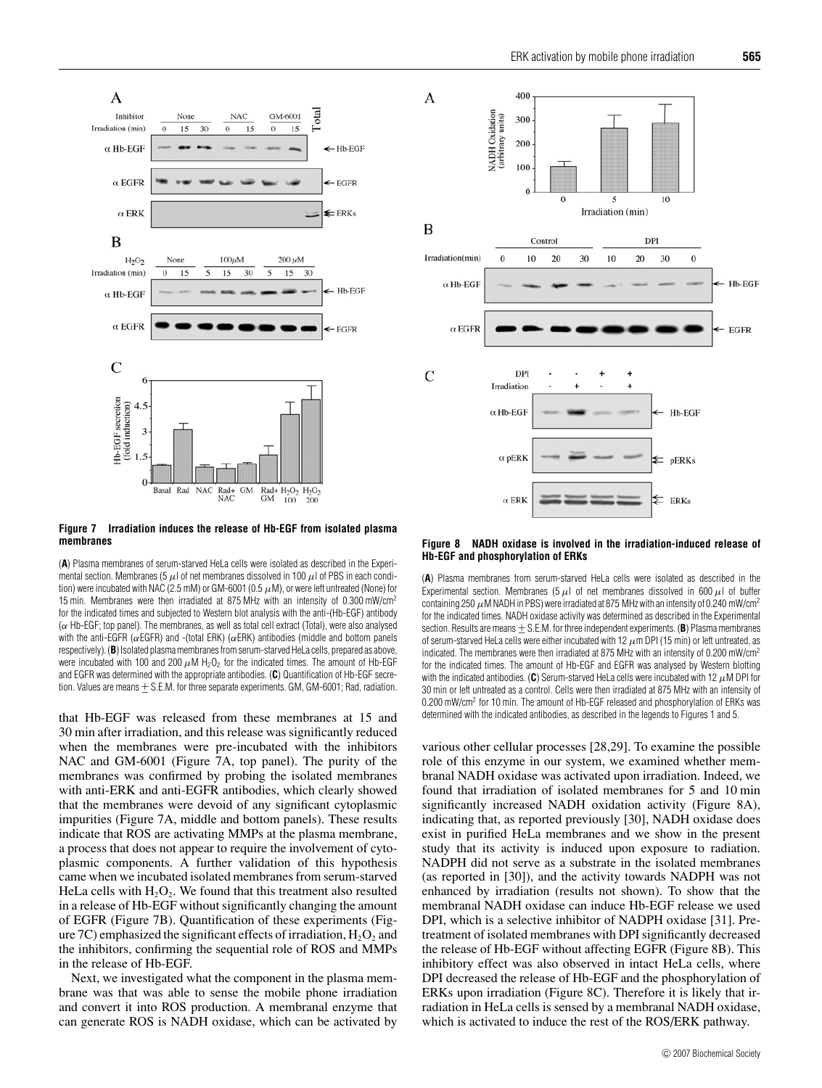

**Figure 7 Irradiation induces the release of Hb-EGF from isolated plasma membranes**

(**A**) Plasma membranes of serum-starved HeLa cells were isolated as described in the Experimental section. Membranes (5  $\mu$ ) of net membranes dissolved in 100  $\mu$ ) of PBS in each condition) were incubated with NAC (2.5 mM) or GM-6001 (0.5  $\mu$ M), or were left untreated (None) for 15 min. Membranes were then irradiated at 875 MHz with an intensity of 0.300 mW/cm2 for the indicated times and subjected to Western blot analysis with the anti-(Hb-EGF) antibody  $(\alpha$  Hb-EGF; top panel). The membranes, as well as total cell extract (Total), were also analysed with the anti-EGFR ( $\alpha$ EGFR) and -(total ERK) ( $\alpha$ ERK) antibodies (middle and bottom panels respectively). (**B**) Isolated plasma membranes from serum-starved HeLa cells, prepared as above, were incubated with 100 and 200  $\mu$ M H<sub>2</sub>O<sub>2</sub> for the indicated times. The amount of Hb-EGF and EGFR was determined with the appropriate antibodies. (**C**) Quantification of Hb-EGF secretion. Values are means  $\pm$  S.E.M. for three separate experiments. GM, GM-6001; Rad, radiation.

that Hb-EGF was released from these membranes at 15 and 30 min after irradiation, and this release was significantly reduced when the membranes were pre-incubated with the inhibitors NAC and GM-6001 (Figure 7A, top panel). The purity of the membranes was confirmed by probing the isolated membranes with anti-ERK and anti-EGFR antibodies, which clearly showed that the membranes were devoid of any significant cytoplasmic impurities (Figure 7A, middle and bottom panels). These results indicate that ROS are activating MMPs at the plasma membrane, a process that does not appear to require the involvement of cytoplasmic components. A further validation of this hypothesis came when we incubated isolated membranes from serum-starved HeLa cells with  $H_2O_2$ . We found that this treatment also resulted in a release of Hb-EGF without significantly changing the amount of EGFR (Figure 7B). Quantification of these experiments (Figure 7C) emphasized the significant effects of irradiation,  $H_2O_2$  and the inhibitors, confirming the sequential role of ROS and MMPs in the release of Hb-EGF.

Next, we investigated what the component in the plasma membrane was that was able to sense the mobile phone irradiation and convert it into ROS production. A membranal enzyme that can generate ROS is NADH oxidase, which can be activated by



#### **Figure 8 NADH oxidase is involved in the irradiation-induced release of Hb-EGF and phosphorylation of ERKs**

(**A**) Plasma membranes from serum-starved HeLa cells were isolated as described in the Experimental section. Membranes (5  $\mu$ l of net membranes dissolved in 600  $\mu$ l of buffer containing 250  $\mu$ M NADH in PBS) were irradiated at 875 MHz with an intensity of 0.240 mW/cm<sup>2</sup> for the indicated times. NADH oxidase activity was determined as described in the Experimental section. Results are means + S.E.M. for three independent experiments. (**B**) Plasma membranes of serum-starved HeLa cells were either incubated with 12  $\mu$ m DPI (15 min) or left untreated, as indicated. The membranes were then irradiated at 875 MHz with an intensity of 0.200 mW/cm<sup>2</sup> for the indicated times. The amount of Hb-EGF and EGFR was analysed by Western blotting with the indicated antibodies. ( $\mathbf{C}$ ) Serum-starved HeLa cells were incubated with 12  $\mu$ M DPI for 30 min or left untreated as a control. Cells were then irradiated at 875 MHz with an intensity of 0.200 mW/cm2 for 10 min. The amount of Hb-EGF released and phosphorylation of ERKs was determined with the indicated antibodies, as described in the legends to Figures 1 and 5.

various other cellular processes [28,29]. To examine the possible role of this enzyme in our system, we examined whether membranal NADH oxidase was activated upon irradiation. Indeed, we found that irradiation of isolated membranes for 5 and 10 min significantly increased NADH oxidation activity (Figure 8A), indicating that, as reported previously [30], NADH oxidase does exist in purified HeLa membranes and we show in the present study that its activity is induced upon exposure to radiation. NADPH did not serve as a substrate in the isolated membranes (as reported in [30]), and the activity towards NADPH was not enhanced by irradiation (results not shown). To show that the membranal NADH oxidase can induce Hb-EGF release we used DPI, which is a selective inhibitor of NADPH oxidase [31]. Pretreatment of isolated membranes with DPI significantly decreased the release of Hb-EGF without affecting EGFR (Figure 8B). This inhibitory effect was also observed in intact HeLa cells, where DPI decreased the release of Hb-EGF and the phosphorylation of ERKs upon irradiation (Figure 8C). Therefore it is likely that irradiation in HeLa cells is sensed by a membranal NADH oxidase, which is activated to induce the rest of the ROS/ERK pathway.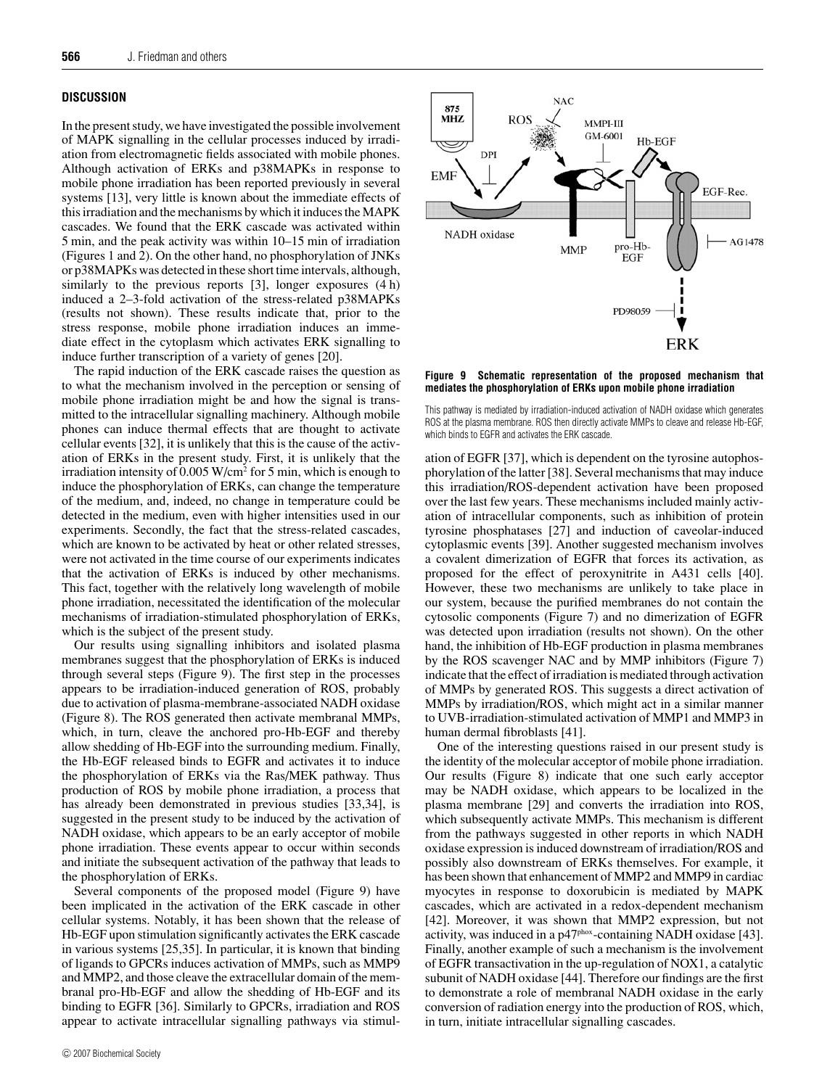# **DISCUSSION**

In the present study, we have investigated the possible involvement of MAPK signalling in the cellular processes induced by irradiation from electromagnetic fields associated with mobile phones. Although activation of ERKs and p38MAPKs in response to mobile phone irradiation has been reported previously in several systems [13], very little is known about the immediate effects of this irradiation and the mechanisms by which it induces the MAPK cascades. We found that the ERK cascade was activated within 5 min, and the peak activity was within 10–15 min of irradiation (Figures 1 and 2). On the other hand, no phosphorylation of JNKs or p38MAPKs was detected in these short time intervals, although, similarly to the previous reports [3], longer exposures  $(4 h)$ induced a 2–3-fold activation of the stress-related p38MAPKs (results not shown). These results indicate that, prior to the stress response, mobile phone irradiation induces an immediate effect in the cytoplasm which activates ERK signalling to induce further transcription of a variety of genes [20].

The rapid induction of the ERK cascade raises the question as to what the mechanism involved in the perception or sensing of mobile phone irradiation might be and how the signal is transmitted to the intracellular signalling machinery. Although mobile phones can induce thermal effects that are thought to activate cellular events [32], it is unlikely that this is the cause of the activation of ERKs in the present study. First, it is unlikely that the irradiation intensity of  $0.005 \text{ W/cm}^2$  for 5 min, which is enough to induce the phosphorylation of ERKs, can change the temperature of the medium, and, indeed, no change in temperature could be detected in the medium, even with higher intensities used in our experiments. Secondly, the fact that the stress-related cascades, which are known to be activated by heat or other related stresses, were not activated in the time course of our experiments indicates that the activation of ERKs is induced by other mechanisms. This fact, together with the relatively long wavelength of mobile phone irradiation, necessitated the identification of the molecular mechanisms of irradiation-stimulated phosphorylation of ERKs, which is the subject of the present study.

Our results using signalling inhibitors and isolated plasma membranes suggest that the phosphorylation of ERKs is induced through several steps (Figure 9). The first step in the processes appears to be irradiation-induced generation of ROS, probably due to activation of plasma-membrane-associated NADH oxidase (Figure 8). The ROS generated then activate membranal MMPs, which, in turn, cleave the anchored pro-Hb-EGF and thereby allow shedding of Hb-EGF into the surrounding medium. Finally, the Hb-EGF released binds to EGFR and activates it to induce the phosphorylation of ERKs via the Ras/MEK pathway. Thus production of ROS by mobile phone irradiation, a process that has already been demonstrated in previous studies [33,34], is suggested in the present study to be induced by the activation of NADH oxidase, which appears to be an early acceptor of mobile phone irradiation. These events appear to occur within seconds and initiate the subsequent activation of the pathway that leads to the phosphorylation of ERKs.

Several components of the proposed model (Figure 9) have been implicated in the activation of the ERK cascade in other cellular systems. Notably, it has been shown that the release of Hb-EGF upon stimulation significantly activates the ERK cascade in various systems [25,35]. In particular, it is known that binding of ligands to GPCRs induces activation of MMPs, such as MMP9 and MMP2, and those cleave the extracellular domain of the membranal pro-Hb-EGF and allow the shedding of Hb-EGF and its binding to EGFR [36]. Similarly to GPCRs, irradiation and ROS appear to activate intracellular signalling pathways via stimul-



**Figure 9 Schematic representation of the proposed mechanism that mediates the phosphorylation of ERKs upon mobile phone irradiation**



ation of EGFR [37], which is dependent on the tyrosine autophosphorylation of the latter [38]. Several mechanisms that may induce this irradiation/ROS-dependent activation have been proposed over the last few years. These mechanisms included mainly activation of intracellular components, such as inhibition of protein tyrosine phosphatases [27] and induction of caveolar-induced cytoplasmic events [39]. Another suggested mechanism involves a covalent dimerization of EGFR that forces its activation, as proposed for the effect of peroxynitrite in A431 cells [40]. However, these two mechanisms are unlikely to take place in our system, because the purified membranes do not contain the cytosolic components (Figure 7) and no dimerization of EGFR was detected upon irradiation (results not shown). On the other hand, the inhibition of Hb-EGF production in plasma membranes by the ROS scavenger NAC and by MMP inhibitors (Figure 7) indicate that the effect of irradiation is mediated through activation of MMPs by generated ROS. This suggests a direct activation of MMPs by irradiation/ROS, which might act in a similar manner to UVB-irradiation-stimulated activation of MMP1 and MMP3 in human dermal fibroblasts [41].

One of the interesting questions raised in our present study is the identity of the molecular acceptor of mobile phone irradiation. Our results (Figure 8) indicate that one such early acceptor may be NADH oxidase, which appears to be localized in the plasma membrane [29] and converts the irradiation into ROS, which subsequently activate MMPs. This mechanism is different from the pathways suggested in other reports in which NADH oxidase expression is induced downstream of irradiation/ROS and possibly also downstream of ERKs themselves. For example, it has been shown that enhancement of MMP2 and MMP9 in cardiac myocytes in response to doxorubicin is mediated by MAPK cascades, which are activated in a redox-dependent mechanism [42]. Moreover, it was shown that MMP2 expression, but not activity, was induced in a p47phox-containing NADH oxidase [43]. Finally, another example of such a mechanism is the involvement of EGFR transactivation in the up-regulation of NOX1, a catalytic subunit of NADH oxidase [44]. Therefore our findings are the first to demonstrate a role of membranal NADH oxidase in the early conversion of radiation energy into the production of ROS, which, in turn, initiate intracellular signalling cascades.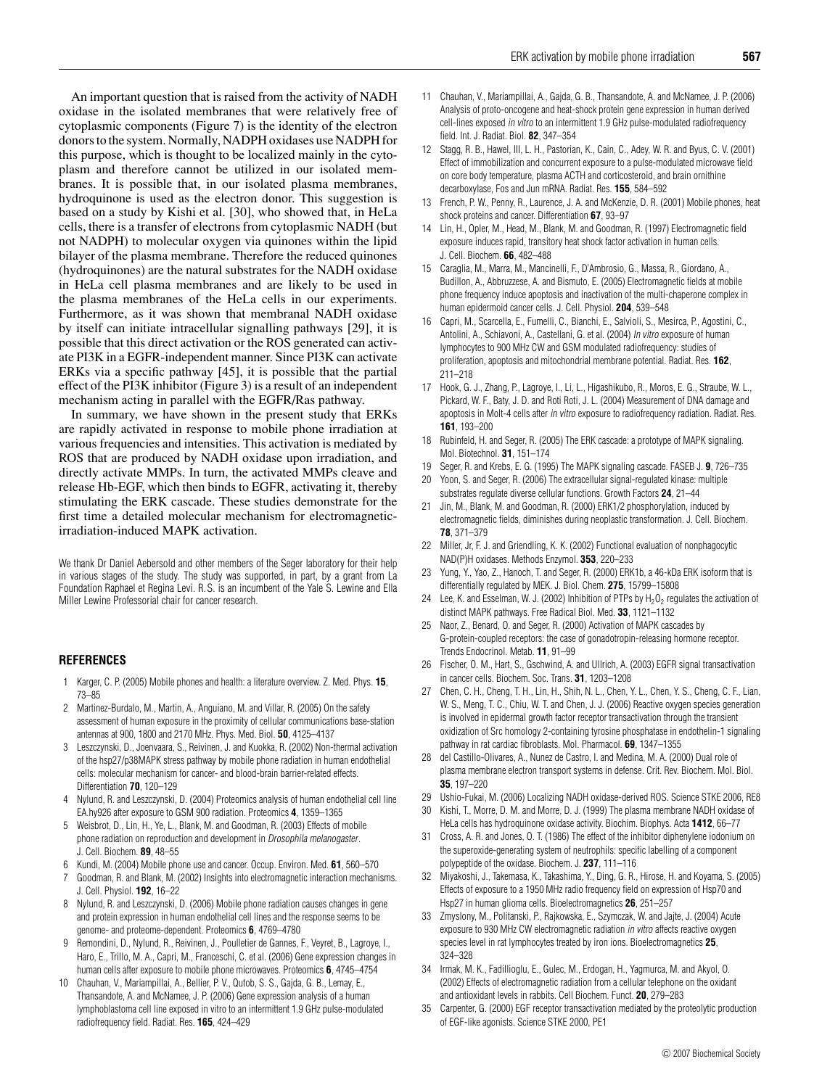An important question that is raised from the activity of NADH oxidase in the isolated membranes that were relatively free of cytoplasmic components (Figure 7) is the identity of the electron donors to the system. Normally, NADPH oxidases use NADPH for this purpose, which is thought to be localized mainly in the cytoplasm and therefore cannot be utilized in our isolated membranes. It is possible that, in our isolated plasma membranes, hydroquinone is used as the electron donor. This suggestion is based on a study by Kishi et al. [30], who showed that, in HeLa cells, there is a transfer of electrons from cytoplasmic NADH (but not NADPH) to molecular oxygen via quinones within the lipid bilayer of the plasma membrane. Therefore the reduced quinones (hydroquinones) are the natural substrates for the NADH oxidase in HeLa cell plasma membranes and are likely to be used in the plasma membranes of the HeLa cells in our experiments. Furthermore, as it was shown that membranal NADH oxidase by itself can initiate intracellular signalling pathways [29], it is possible that this direct activation or the ROS generated can activate PI3K in a EGFR-independent manner. Since PI3K can activate ERKs via a specific pathway [45], it is possible that the partial effect of the PI3K inhibitor (Figure 3) is a result of an independent mechanism acting in parallel with the EGFR/Ras pathway.

In summary, we have shown in the present study that ERKs are rapidly activated in response to mobile phone irradiation at various frequencies and intensities. This activation is mediated by ROS that are produced by NADH oxidase upon irradiation, and directly activate MMPs. In turn, the activated MMPs cleave and release Hb-EGF, which then binds to EGFR, activating it, thereby stimulating the ERK cascade. These studies demonstrate for the first time a detailed molecular mechanism for electromagneticirradiation-induced MAPK activation.

We thank Dr Daniel Aebersold and other members of the Seger laboratory for their help in various stages of the study. The study was supported, in part, by a grant from La Foundation Raphael et Regina Levi. R. S. is an incumbent of the Yale S. Lewine and Ella Miller Lewine Professorial chair for cancer research.

#### **REFERENCES**

- 1 Karger, C. P. (2005) Mobile phones and health: a literature overview. Z. Med. Phys. **15**, 73–85
- 2 Martinez-Burdalo, M., Martin, A., Anguiano, M. and Villar, R. (2005) On the safety assessment of human exposure in the proximity of cellular communications base-station antennas at 900, 1800 and 2170 MHz. Phys. Med. Biol. **50**, 4125–4137
- 3 Leszczynski, D., Joenvaara, S., Reivinen, J. and Kuokka, R. (2002) Non-thermal activation of the hsp27/p38MAPK stress pathway by mobile phone radiation in human endothelial cells: molecular mechanism for cancer- and blood-brain barrier-related effects. Differentiation **70**, 120–129
- 4 Nylund, R. and Leszczynski, D. (2004) Proteomics analysis of human endothelial cell line EA.hy926 after exposure to GSM 900 radiation. Proteomics **4**, 1359–1365
- 5 Weisbrot, D., Lin, H., Ye, L., Blank, M. and Goodman, R. (2003) Effects of mobile phone radiation on reproduction and development in Drosophila melanogaster. J. Cell. Biochem. **89**, 48–55
- 6 Kundi, M. (2004) Mobile phone use and cancer. Occup. Environ. Med. **61**, 560–570
- Goodman, R. and Blank, M. (2002) Insights into electromagnetic interaction mechanisms. J. Cell. Physiol. **192**, 16–22
- 8 Nylund, R. and Leszczynski, D. (2006) Mobile phone radiation causes changes in gene and protein expression in human endothelial cell lines and the response seems to be genome- and proteome-dependent. Proteomics **6**, 4769–4780
- 9 Remondini, D., Nylund, R., Reivinen, J., Poulletier de Gannes, F., Veyret, B., Lagroye, I., Haro, E., Trillo, M. A., Capri, M., Franceschi, C. et al. (2006) Gene expression changes in human cells after exposure to mobile phone microwaves. Proteomics **6**, 4745–4754
- 10 Chauhan, V., Mariampillai, A., Bellier, P. V., Qutob, S. S., Gajda, G. B., Lemay, E., Thansandote, A. and McNamee, J. P. (2006) Gene expression analysis of a human lymphoblastoma cell line exposed in vitro to an intermittent 1.9 GHz pulse-modulated radiofrequency field. Radiat. Res. **165**, 424–429
- 11 Chauhan, V., Mariampillai, A., Gajda, G. B., Thansandote, A. and McNamee, J. P. (2006) Analysis of proto-oncogene and heat-shock protein gene expression in human derived cell-lines exposed in vitro to an intermittent 1.9 GHz pulse-modulated radiofrequency field. Int. J. Radiat. Biol. **82**, 347–354
- 12 Stagg, R. B., Hawel, III, L. H., Pastorian, K., Cain, C., Adey, W. R. and Byus, C. V. (2001) Effect of immobilization and concurrent exposure to a pulse-modulated microwave field on core body temperature, plasma ACTH and corticosteroid, and brain ornithine decarboxylase, Fos and Jun mRNA. Radiat. Res. **155**, 584–592
- 13 French, P. W., Penny, R., Laurence, J. A. and McKenzie, D. R. (2001) Mobile phones, heat shock proteins and cancer. Differentiation **67**, 93–97
- 14 Lin, H., Opler, M., Head, M., Blank, M. and Goodman, R. (1997) Electromagnetic field exposure induces rapid, transitory heat shock factor activation in human cells. J. Cell. Biochem. **66**, 482–488
- 15 Caraglia, M., Marra, M., Mancinelli, F., D'Ambrosio, G., Massa, R., Giordano, A., Budillon, A., Abbruzzese, A. and Bismuto, E. (2005) Electromagnetic fields at mobile phone frequency induce apoptosis and inactivation of the multi-chaperone complex in human epidermoid cancer cells. J. Cell. Physiol. **204**, 539–548
- 16 Capri, M., Scarcella, E., Fumelli, C., Bianchi, E., Salvioli, S., Mesirca, P., Agostini, C., Antolini, A., Schiavoni, A., Castellani, G. et al. (2004) In vitro exposure of human lymphocytes to 900 MHz CW and GSM modulated radiofrequency: studies of proliferation, apoptosis and mitochondrial membrane potential. Radiat. Res. **162**, 211–218
- 17 Hook, G. J., Zhang, P., Lagroye, I., Li, L., Higashikubo, R., Moros, E. G., Straube, W. L., Pickard, W. F., Baty, J. D. and Roti Roti, J. L. (2004) Measurement of DNA damage and apoptosis in Molt-4 cells after in vitro exposure to radiofrequency radiation. Radiat. Res. **161**, 193–200
- 18 Rubinfeld, H. and Seger, R. (2005) The ERK cascade: a prototype of MAPK signaling. Mol. Biotechnol. **31**, 151–174
- 19 Seger, R. and Krebs, E. G. (1995) The MAPK signaling cascade. FASEB J. **9**, 726–735
- 20 Yoon, S. and Seger, R. (2006) The extracellular signal-regulated kinase: multiple substrates regulate diverse cellular functions. Growth Factors **24**, 21–44
- 21 Jin, M., Blank, M. and Goodman, R. (2000) ERK1/2 phosphorylation, induced by electromagnetic fields, diminishes during neoplastic transformation. J. Cell. Biochem. **78**, 371–379
- 22 Miller, Jr, F. J. and Griendling, K. K. (2002) Functional evaluation of nonphagocytic NAD(P)H oxidases. Methods Enzymol. **353**, 220–233
- 23 Yung, Y., Yao, Z., Hanoch, T. and Seger, R. (2000) ERK1b, a 46-kDa ERK isoform that is differentially regulated by MEK. J. Biol. Chem. **275**, 15799–15808
- 24 Lee, K. and Esselman, W. J. (2002) Inhibition of PTPs by  $H_2O_2$  regulates the activation of distinct MAPK pathways. Free Radical Biol. Med. **33**, 1121–1132
- 25 Naor, Z., Benard, O. and Seger, R. (2000) Activation of MAPK cascades by G-protein-coupled receptors: the case of gonadotropin-releasing hormone receptor. Trends Endocrinol. Metab. **11**, 91–99
- 26 Fischer, O. M., Hart, S., Gschwind, A. and Ullrich, A. (2003) EGFR signal transactivation in cancer cells. Biochem. Soc. Trans. **31**, 1203–1208
- 27 Chen, C. H., Cheng, T. H., Lin, H., Shih, N. L., Chen, Y. L., Chen, Y. S., Cheng, C. F., Lian, W. S., Meng, T. C., Chiu, W. T. and Chen, J. J. (2006) Reactive oxygen species generation is involved in epidermal growth factor receptor transactivation through the transient oxidization of Src homology 2-containing tyrosine phosphatase in endothelin-1 signaling pathway in rat cardiac fibroblasts. Mol. Pharmacol. **69**, 1347–1355
- 28 del Castillo-Olivares, A., Nunez de Castro, I. and Medina, M. A. (2000) Dual role of plasma membrane electron transport systems in defense. Crit. Rev. Biochem. Mol. Biol. **35**, 197–220
- 29 Ushio-Fukai, M. (2006) Localizing NADH oxidase-derived ROS. Science STKE 2006, RE8
- 30 Kishi, T., Morre, D. M. and Morre, D. J. (1999) The plasma membrane NADH oxidase of HeLa cells has hydroquinone oxidase activity. Biochim. Biophys. Acta **1412**, 66–77
- 31 Cross, A. R. and Jones, O. T. (1986) The effect of the inhibitor diphenylene iodonium on the superoxide-generating system of neutrophils: specific labelling of a component polypeptide of the oxidase. Biochem. J. **237**, 111–116
- 32 Miyakoshi, J., Takemasa, K., Takashima, Y., Ding, G. R., Hirose, H. and Koyama, S. (2005) Effects of exposure to a 1950 MHz radio frequency field on expression of Hsp70 and Hsp27 in human glioma cells. Bioelectromagnetics **26**, 251–257
- 33 Zmyslony, M., Politanski, P., Rajkowska, E., Szymczak, W. and Jajte, J. (2004) Acute exposure to 930 MHz CW electromagnetic radiation in vitro affects reactive oxygen species level in rat lymphocytes treated by iron ions. Bioelectromagnetics **25**, 324–328
- 34 Irmak, M. K., Fadillioglu, E., Gulec, M., Erdogan, H., Yagmurca, M. and Akyol, O. (2002) Effects of electromagnetic radiation from a cellular telephone on the oxidant and antioxidant levels in rabbits. Cell Biochem. Funct. **20**, 279–283
- 35 Carpenter, G. (2000) EGF receptor transactivation mediated by the proteolytic production of EGF-like agonists. Science STKE 2000, PE1